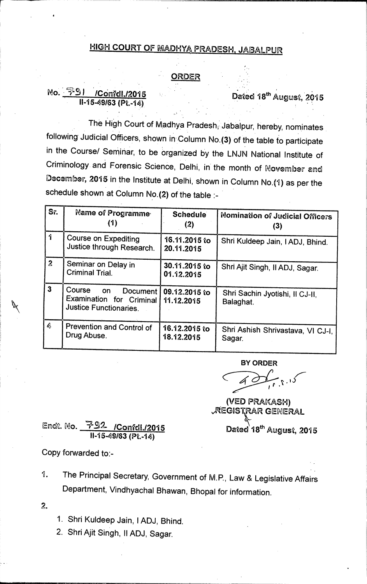## **HIGH COURT OF MADHY4 PRADESH, JABALPUR**

## **ORDER**

## **1\9 . (T4.5 I /Confdl./2015 11-15-49/63 (Pt.-14)**

Dated 18<sup>th</sup> August, 2015

**The High Court of KA.adhya Pradeshi. Jabaipur, hereby, nominates following Judicial Officers, shown in. Column No.(3) of the table to participate**  in the Course/ Seminar, to be organized by the LNJN National Institute of **Criminology, and Forensic Science, Delhi, in the month of Movember and December, 2015 in the Institute at Delhi, shown in Column No.(1) as per the schedule shown at Column No.(2) of the table :-** 

| Sr.                     | Name of Programme<br>(1)                                                                     | <b>Schedule</b><br>(2)      | Nomination of Judicial Officers<br>(3)       |
|-------------------------|----------------------------------------------------------------------------------------------|-----------------------------|----------------------------------------------|
| 1                       | <b>Course on Expediting</b><br>Justice through Research.                                     | 16.11.2015 to<br>20.11.2015 | Shri Kuldeep Jain, IADJ, Bhind.              |
| $\mathbf{z}$            | Seminar on Delay in<br><b>Criminal Trial.</b>                                                | 30.11.2015 to<br>01.12.2015 | Shri Ajit Singh, Il ADJ, Sagar.              |
| $\overline{\mathbf{3}}$ | Course<br>on<br><b>Document</b><br>Examination for Criminal<br><b>Justice Functionaries.</b> | 09.12.2015 to<br>11.12.2015 | Shri Sachin Jyotishi, Il CJ-II,<br>Balaghat. |
| $\clubsuit$             | Prevention and Control of<br>Drug Abuse.                                                     | 16.12.2015 to<br>18.12.2015 | Shri Ashish Shrivastava, VI CJ-I,<br>Sagar.  |

**BY ORDER** 

**(VED PRAKASH) AEGISTRAR GEMERAL**  Dated 18<sup>th</sup> August, 2015

Endt. No. 2792 / Confdl./2015 **11-15-49/63 (Pt.-14)** 

**Copy forwarded to:-** 

**1. The Principal Secretary, Government of M.P., Law & Legislative Affairs Department, Vindhyachal Bhawan, Bhopal for information.** 

2.

**1. Shri Kuldeep Jain, I ADJ, Bhind.** 

**2. Shri Ajit Singh, II ADJ, Sagar.**